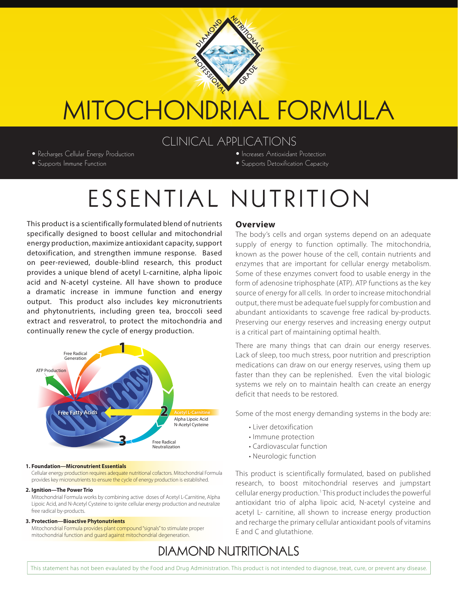

# MITOCHONDRIAL FORMULA

## CLINICAL APPLICATIONS

- Recharges Cellular Energy Production
- Supports Immune Function
- Increases Antioxidant Protection
- Supports Detoxification Capacity

# ESSENTIAL NUTRITION

This product is a scientifically formulated blend of nutrients specifically designed to boost cellular and mitochondrial energy production, maximize antioxidant capacity, support detoxification, and strengthen immune response. Based on peer-reviewed, double-blind research, this product provides a unique blend of acetyl L-carnitine, alpha lipoic acid and N-acetyl cysteine. All have shown to produce a dramatic increase in immune function and energy output. This product also includes key micronutrients and phytonutrients, including green tea, broccoli seed extract and resveratrol, to protect the mitochondria and continually renew the cycle of energy production.



#### **1. Foundation—Micronutrient Essentials**

Cellular energy production requires adequate nutritional cofactors. Mitochondrial Formula provides key micronutrients to ensure the cycle of energy production is established.

#### **2. Ignition—The Power Trio**

Mitochondrial Formula works by combining active doses of Acetyl L-Carnitine, Alpha Lipoic Acid, and N-Acetyl Cysteine to ignite cellular energy production and neutralize free radical by-products.

#### **3. Protection—Bioactive Phytonutrients**

Mitochondrial Formula provides plant compound "signals" to stimulate proper mitochondrial function and guard against mitochondrial degeneration.

#### **Overview**

The body's cells and organ systems depend on an adequate supply of energy to function optimally. The mitochondria, known as the power house of the cell, contain nutrients and enzymes that are important for cellular energy metabolism. Some of these enzymes convert food to usable energy in the form of adenosine triphosphate (ATP). ATP functions as the key source of energy for all cells. In order to increase mitochondrial output, there must be adequate fuel supply for combustion and abundant antioxidants to scavenge free radical by-products. Preserving our energy reserves and increasing energy output is a critical part of maintaining optimal health.

There are many things that can drain our energy reserves. Lack of sleep, too much stress, poor nutrition and prescription medications can draw on our energy reserves, using them up faster than they can be replenished. Even the vital biologic systems we rely on to maintain health can create an energy deficit that needs to be restored.

Some of the most energy demanding systems in the body are:

- Liver detoxification
- Immune protection
- Cardiovascular function
- Neurologic function

This product is scientifically formulated, based on published research, to boost mitochondrial reserves and jumpstart cellular energy production.<sup>1</sup> This product includes the powerful antioxidant trio of alpha lipoic acid, N-acetyl cysteine and acetyl L- carnitine, all shown to increase energy production and recharge the primary cellular antioxidant pools of vitamins E and C and glutathione.

## **DIAMOND NUTRITIONALS**

This statement has not been evaulated by the Food and Drug Administration. This product is not intended to diagnose, treat, cure, or prevent any disease.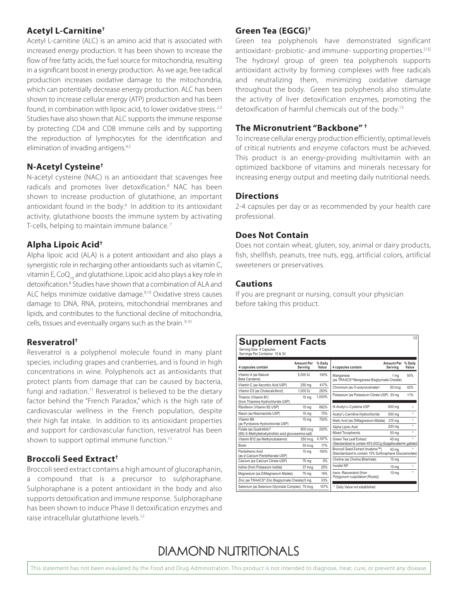## **Acetyl L-Carnitine†**

Acetyl L-carnitine (ALC) is an amino acid that is associated with increased energy production. It has been shown to increase the fow of free fatty acids, the fuel source for mitochondria, resulting in a signifcant boost in energy production. As we age, free radical production increases oxidative damage to the mitochondria, which can potentially decrease energy production. ALC has been shown to increase cellular energy (ATP) production and has been found, in combination with lipoic acid, to lower oxidative stress. 2,3 Studies have also shown that ALC supports the immune response by protecting CD4 and CD8 immune cells and by supporting the reproduction of lymphocytes for the identifcation and elimination of invading antigens.<sup>4,5</sup>

## **N-Acetyl Cysteine†**

N-acetyl cysteine (NAC) is an antioxidant that scavenges free radicals and promotes liver detoxification.<sup>6</sup> NAC has been shown to increase production of glutathione, an important antioxidant found in the body.<sup>6</sup> In addition to its antioxidant activity, glutathione boosts the immune system by activating T-cells, helping to maintain immune balance. 7

## **Alpha Lipoic Acid†**

Alpha lipoic acid (ALA) is a potent antioxidant and also plays a synergistic role in recharging other antioxidants such as vitamin C, vitamin E, CoQ<sub>10</sub> and glutathione. Lipoic acid also plays a key role in detoxification.<sup>8</sup> Studies have shown that a combination of ALA and ALC helps minimize oxidative damage.<sup>9,10</sup> Oxidative stress causes damage to DNA, RNA, proteins, mitochondrial membranes and lipids, and contributes to the functional decline of mitochondria, cells, tissues and eventually organs such as the brain. 9,10

## **Resveratrol†**

Resveratrol is a polyphenol molecule found in many plant species, including grapes and cranberries, and is found in high concentrations in wine. Polyphenols act as antioxidants that protect plants from damage that can be caused by bacteria, fungi and radiation.<sup>11</sup> Resveratrol is believed to be the dietary factor behind the "French Paradox," which is the high rate of cardiovascular wellness in the French population, despite their high fat intake. In addition to its antioxidant properties and support for cardiovascular function, resveratrol has been shown to support optimal immune function.<sup>11</sup>

## **Broccoli Seed Extract†**

Broccoli seed extract contains a high amount of glucoraphanin, a compound that is a precursor to sulphoraphane. Sulphoraphane is a potent antioxidant in the body and also supports detoxification and immune response. Sulphoraphane has been shown to induce Phase II detoxification enzymes and raise intracellular glutathione levels.12

## **Green Tea (EGCG)†**

Green tea polyphenols have demonstrated significant antioxidant- probiotic- and immune- supporting properties.<sup>[13]</sup> The hydroxyl group of green tea polyphenols supports antioxidant activity by forming complexes with free radicals and neutralizing them, minimizing oxidative damage throughout the body. Green tea polyphenols also stimulate the activity of liver detoxification enzymes, promoting the detoxification of harmful chemicals out of the body.<sup>13</sup>

## **The Micronutrient "Backbone" †**

To increase cellular energy production efficiently, optimal levels of critical nutrients and enzyme cofactors must be achieved. This product is an energy-providing multivitamin with an optimized backbone of vitamins and minerals necessary for increasing energy output and meeting daily nutritional needs.

#### **Directions**

2-4 capsules per day or as recommended by your health care professional.

#### **Does Not Contain**

Does not contain wheat, gluten, soy, animal or dairy products, fish, shellfish, peanuts, tree nuts, egg, artificial colors, artificial sweeteners or preservatives.

#### **Cautions**

If you are pregnant or nursing, consult your physician before taking this product.

## **Supplement Facts**

Serving Size 4 Capsules Servings Per Container 15 & 30

| 4 capsules contain                                                                         | <b>Amount Per</b><br>Servina | % Daily<br>Value | 4 capsules contain                                                                            | <b>Amount Per</b><br>Servina | % Daily<br>Value |
|--------------------------------------------------------------------------------------------|------------------------------|------------------|-----------------------------------------------------------------------------------------------|------------------------------|------------------|
| Vitamin A (as Natural<br>Beta Carotene)                                                    | 5.000 IU                     | 100%             | Manganese<br>(as TRAACS®Manganese Bisglycinate Chelate)                                       | 1 ma                         | 50%              |
| Vitamin C (as Ascorbic Acid USP)                                                           | 250 mg                       | 417%             | Chromium (as O-polynicotinate) <sup>#</sup>                                                   | 50 mca                       | 42%              |
| Vitamin D3 (as Cholecalciferol)                                                            | 1.000 IU                     | 250%             |                                                                                               |                              |                  |
| Thiamin (Vitamin B1)<br>(from Thiamine Hydrochloride USP)                                  | 15 <sub>mg</sub>             | 1.000%           | Potassium (as Potassium Citrate USP) 30 mg                                                    |                              | $< 1\%$          |
| Riboflavin (Vitamin B2 USP)                                                                | 15 <sub>mg</sub>             | 882%             | N-Acetyl-L-Cysteine USP                                                                       | 600 mg                       |                  |
| Niacin (as Niacinamide USP)                                                                | 15 <sub>mg</sub>             | 75%              | Acetyl L-Carnitine Hydrochloride                                                              | 500 mg                       | ÷                |
| Vitamin B6<br>(as Pyridoxine Hydrochloride USP)                                            | 15 ma                        | 750%             | Malic Acid (as DiMagnesium Malate)                                                            | 215 mg                       | ÷                |
| Folate (as Quatrefolic <sup>®</sup><br>(6S)-5-Methyltetrahydrofolic acid glucosamine salt) | 800 mcg                      | 200%             | Alpha Lipoic Acid<br>Mixed Tocopherols                                                        | 200 mg<br>50 mg              | ÷<br>÷           |
| Vitamin B12 (as Methylcobalamin)                                                           | 250 mcg                      | 4,167%           | Green Tea Leaf Extract                                                                        | 45 mg                        |                  |
| <b>Biotin</b>                                                                              | 50 mca                       | 17%              | (Standardized to contain 45% EGCg (Epigallocatechin gallate))                                 |                              |                  |
| Pantothenic Acid<br>(as d-Calcium Pantothenate USP)                                        | 15 <sub>mg</sub>             | 150%             | Broccoli Seed Extract (truebroc™)<br>(Standardized to contain 13% Sulforaphane Glucosinolate) | 40 <sub>ma</sub>             |                  |
| Calcium (as Calcium Citrate USP)                                                           | 75 ma                        | 8%               | Choline (as Choline Bitartrate)                                                               | 15 ma                        |                  |
| Iodine (from Potassium Iodide)                                                             | 37 mca                       | 25%              | Inositol NF                                                                                   | 15 ma                        | ÷                |
| Magnesium (as DiMagnesium Malate)                                                          | 75 ma                        | 19%              | trans - Resveratrol (from<br>Polygonum cuspidatum (Roots))                                    | 10 <sub>ma</sub>             | ٠                |
| Zinc (as TRAACS® Zinc Bisglycinate Chelate) 5 mg                                           |                              | 33%              |                                                                                               |                              |                  |
| Selenium (as Selenium Glycinate Complex) 75 mcg<br>107%                                    |                              |                  | Daily Value not established                                                                   |                              |                  |

# **DIAMOND NUTRITIONALS**